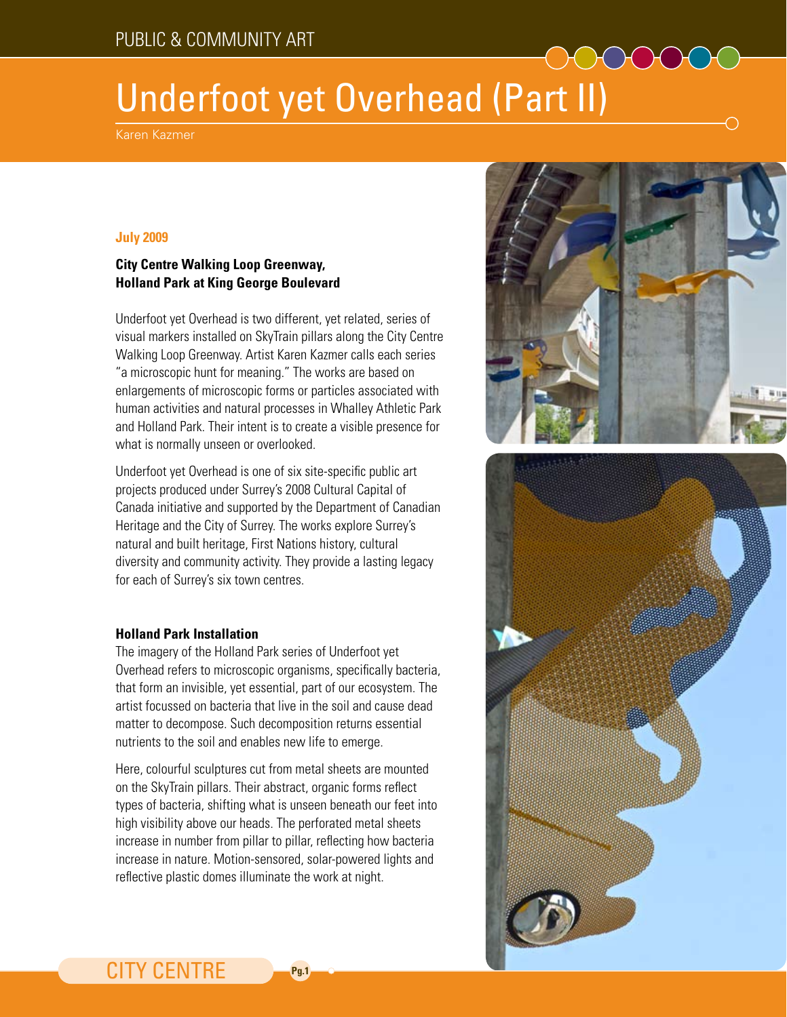# Underfoot yet Overhead (Part II)

Karen Kazmer

#### **July 2009**

### **City Centre Walking Loop Greenway, Holland Park at King George Boulevard**

Underfoot yet Overhead is two different, yet related, series of visual markers installed on SkyTrain pillars along the City Centre Walking Loop Greenway. Artist Karen Kazmer calls each series "a microscopic hunt for meaning." The works are based on enlargements of microscopic forms or particles associated with human activities and natural processes in Whalley Athletic Park and Holland Park. Their intent is to create a visible presence for what is normally unseen or overlooked.

Underfoot yet Overhead is one of six site-specific public art projects produced under Surrey's 2008 Cultural Capital of Canada initiative and supported by the Department of Canadian Heritage and the City of Surrey. The works explore Surrey's natural and built heritage, First Nations history, cultural diversity and community activity. They provide a lasting legacy for each of Surrey's six town centres.

#### **Holland Park Installation**

The imagery of the Holland Park series of Underfoot yet Overhead refers to microscopic organisms, specifically bacteria, that form an invisible, yet essential, part of our ecosystem. The artist focussed on bacteria that live in the soil and cause dead matter to decompose. Such decomposition returns essential nutrients to the soil and enables new life to emerge.

Here, colourful sculptures cut from metal sheets are mounted on the SkyTrain pillars. Their abstract, organic forms reflect types of bacteria, shifting what is unseen beneath our feet into high visibility above our heads. The perforated metal sheets increase in number from pillar to pillar, reflecting how bacteria increase in nature. Motion-sensored, solar-powered lights and reflective plastic domes illuminate the work at night.





## CITY CENTRE **Pg.1**